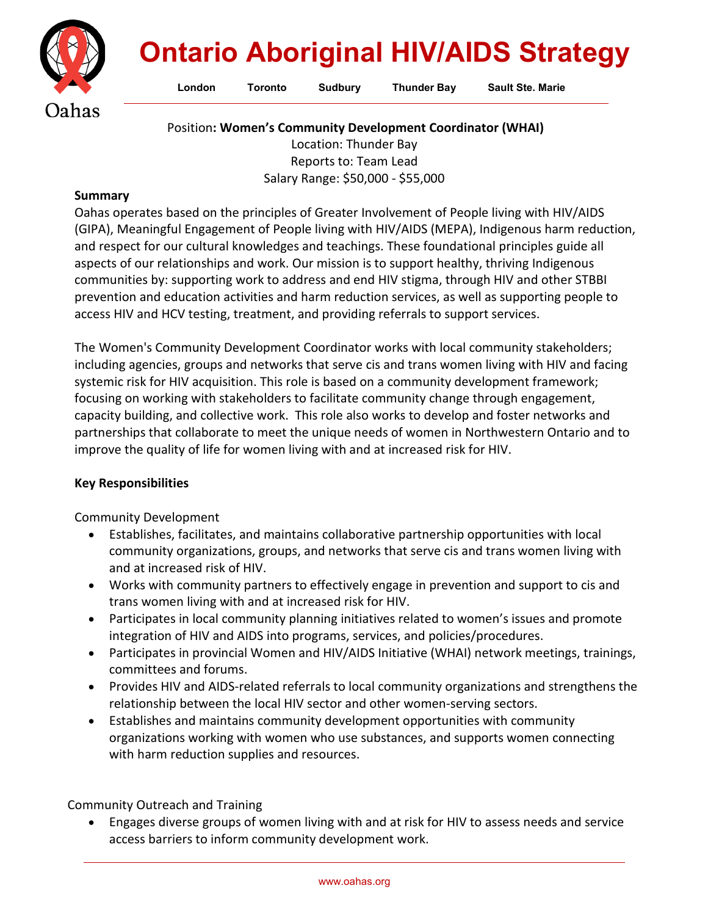

## **Ontario Aboriginal HIV/AIDS Strategy**

**London Toronto Sudbury Thunder Bay Sault Ste. Marie**

Position**: Women's Community Development Coordinator (WHAI)**

Location: Thunder Bay Reports to: Team Lead Salary Range: \$50,000 - \$55,000

## **Summary**

Oahas operates based on the principles of Greater Involvement of People living with HIV/AIDS (GIPA), Meaningful Engagement of People living with HIV/AIDS (MEPA), Indigenous harm reduction, and respect for our cultural knowledges and teachings. These foundational principles guide all aspects of our relationships and work. Our mission is to support healthy, thriving Indigenous communities by: supporting work to address and end HIV stigma, through HIV and other STBBI prevention and education activities and harm reduction services, as well as supporting people to access HIV and HCV testing, treatment, and providing referrals to support services.

The Women's Community Development Coordinator works with local community stakeholders; including agencies, groups and networks that serve cis and trans women living with HIV and facing systemic risk for HIV acquisition. This role is based on a community development framework; focusing on working with stakeholders to facilitate community change through engagement, capacity building, and collective work. This role also works to develop and foster networks and partnerships that collaborate to meet the unique needs of women in Northwestern Ontario and to improve the quality of life for women living with and at increased risk for HIV.

## **Key Responsibilities**

Community Development

- Establishes, facilitates, and maintains collaborative partnership opportunities with local community organizations, groups, and networks that serve cis and trans women living with and at increased risk of HIV.
- Works with community partners to effectively engage in prevention and support to cis and trans women living with and at increased risk for HIV.
- Participates in local community planning initiatives related to women's issues and promote integration of HIV and AIDS into programs, services, and policies/procedures.
- Participates in provincial Women and HIV/AIDS Initiative (WHAI) network meetings, trainings, committees and forums.
- Provides HIV and AIDS-related referrals to local community organizations and strengthens the relationship between the local HIV sector and other women-serving sectors.
- Establishes and maintains community development opportunities with community organizations working with women who use substances, and supports women connecting with harm reduction supplies and resources.

Community Outreach and Training

• Engages diverse groups of women living with and at risk for HIV to assess needs and service access barriers to inform community development work.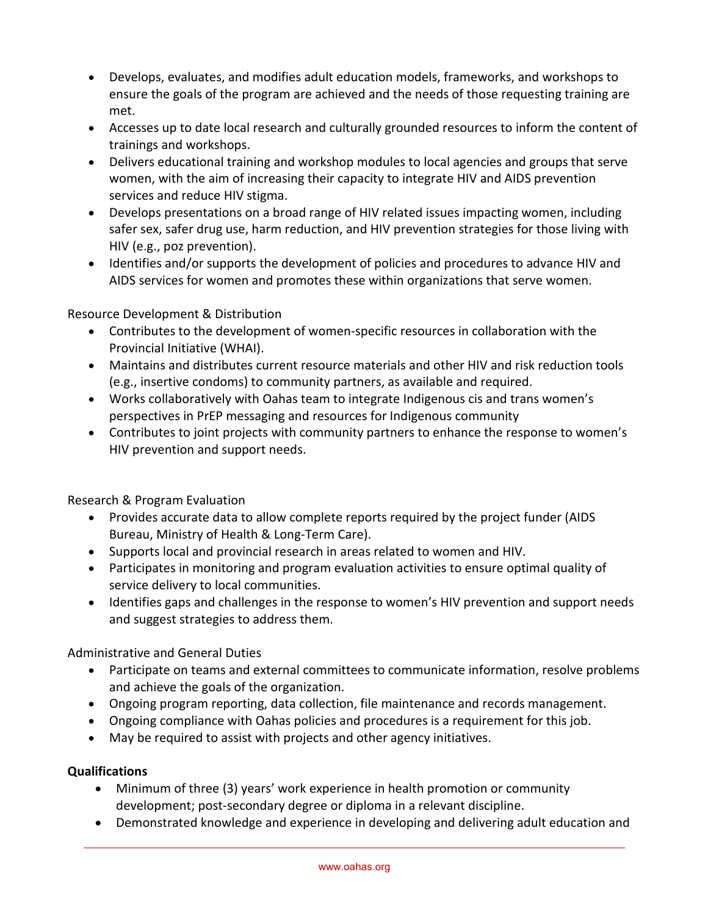- Develops, evaluates, and modifies adult education models, frameworks, and workshops to ensure the goals of the program are achieved and the needs of those requesting training are met.
- Accesses up to date local research and culturally grounded resources to inform the content of trainings and workshops.
- Delivers educational training and workshop modules to local agencies and groups that serve women, with the aim of increasing their capacity to integrate HIV and AIDS prevention services and reduce HIV stigma.
- Develops presentations on a broad range of HIV related issues impacting women, including safer sex, safer drug use, harm reduction, and HIV prevention strategies for those living with HIV (e.g., poz prevention).
- Identifies and/or supports the development of policies and procedures to advance HIV and AIDS services for women and promotes these within organizations that serve women.

Resource Development & Distribution

- Contributes to the development of women-specific resources in collaboration with the Provincial Initiative (WHAI).
- Maintains and distributes current resource materials and other HIV and risk reduction tools (e.g., insertive condoms) to community partners, as available and required.
- Works collaboratively with Oahas team to integrate Indigenous cis and trans women's perspectives in PrEP messaging and resources for Indigenous community
- Contributes to joint projects with community partners to enhance the response to women's HIV prevention and support needs.

Research & Program Evaluation

- Provides accurate data to allow complete reports required by the project funder (AIDS Bureau, Ministry of Health & Long-Term Care).
- Supports local and provincial research in areas related to women and HIV.
- Participates in monitoring and program evaluation activities to ensure optimal quality of service delivery to local communities.
- Identifies gaps and challenges in the response to women's HIV prevention and support needs and suggest strategies to address them.

Administrative and General Duties

- Participate on teams and external committees to communicate information, resolve problems and achieve the goals of the organization.
- Ongoing program reporting, data collection, file maintenance and records management.
- Ongoing compliance with Oahas policies and procedures is a requirement for this job.
- May be required to assist with projects and other agency initiatives.

## **Qualifications**

- Minimum of three (3) years' work experience in health promotion or community development; post-secondary degree or diploma in a relevant discipline.
- Demonstrated knowledge and experience in developing and delivering adult education and